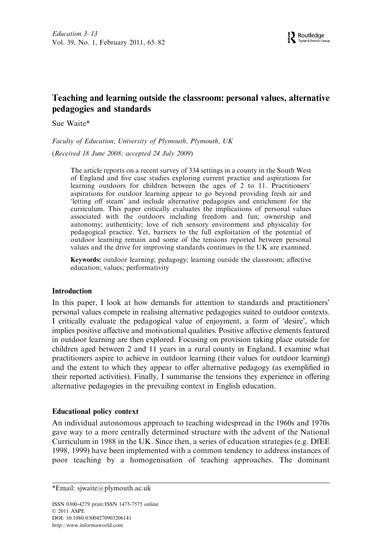# Teaching and learning outside the classroom: personal values, alternative pedagogies and standards

Sue Waite\*

Faculty of Education, University of Plymouth, Plymouth, UK

(Received 18 June 2008; accepted 24 July 2009)

The article reports on a recent survey of 334 settings in a county in the South West of England and five case studies exploring current practice and aspirations for learning outdoors for children between the ages of 2 to 11. Practitioners' aspirations for outdoor learning appear to go beyond providing fresh air and 'letting off steam' and include alternative pedagogies and enrichment for the curriculum. This paper critically evaluates the implications of personal values associated with the outdoors including freedom and fun; ownership and autonomy; authenticity; love of rich sensory environment and physicality for pedagogical practice. Yet, barriers to the full exploitation of the potential of outdoor learning remain and some of the tensions reported between personal values and the drive for improving standards continues in the UK are examined.

Keywords: outdoor learning; pedagogy; learning outside the classroom; affective education; values; performativity

## Introduction

In this paper, I look at how demands for attention to standards and practitioners' personal values compete in realising alternative pedagogies suited to outdoor contexts. I critically evaluate the pedagogical value of enjoyment, a form of 'desire', which implies positive affective and motivational qualities. Positive affective elements featured in outdoor learning are then explored. Focusing on provision taking place outside for children aged between 2 and 11 years in a rural county in England, I examine what practitioners aspire to achieve in outdoor learning (their values for outdoor learning) and the extent to which they appear to offer alternative pedagogy (as exemplified in their reported activities). Finally, I summarise the tensions they experience in offering alternative pedagogies in the prevailing context in English education.

## Educational policy context

An individual autonomous approach to teaching widespread in the 1960s and 1970s gave way to a more centrally determined structure with the advent of the National Curriculum in 1988 in the UK. Since then, a series of education strategies (e.g. DfEE 1998, 1999) have been implemented with a common tendency to address instances of poor teaching by a homogenisation of teaching approaches. The dominant

<sup>\*</sup>Email: sjwaite@plymouth.ac.uk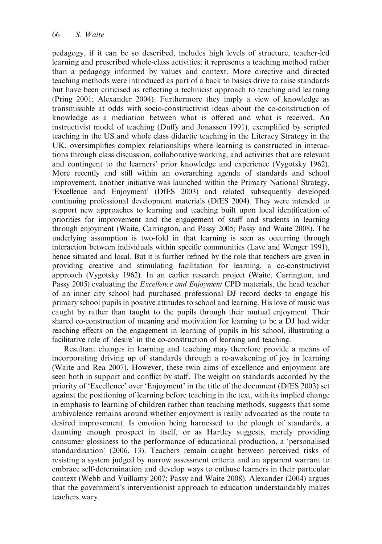pedagogy, if it can be so described, includes high levels of structure, teacher-led learning and prescribed whole-class activities; it represents a teaching method rather than a pedagogy informed by values and context. More directive and directed teaching methods were introduced as part of a back to basics drive to raise standards but have been criticised as reflecting a technicist approach to teaching and learning (Pring 2001; Alexander 2004). Furthermore they imply a view of knowledge as transmissible at odds with socio-constructivist ideas about the co-construction of knowledge as a mediation between what is offered and what is received. An instructivist model of teaching (Duffy and Jonassen 1991), exemplified by scripted teaching in the US and whole class didactic teaching in the Literacy Strategy in the UK, oversimplifies complex relationships where learning is constructed in interactions through class discussion, collaborative working, and activities that are relevant and contingent to the learners' prior knowledge and experience (Vygotsky 1962). More recently and still within an overarching agenda of standards and school improvement, another initiative was launched within the Primary National Strategy, 'Excellence and Enjoyment' (DfES 2003) and related subsequently developed continuing professional development materials (DfES 2004). They were intended to support new approaches to learning and teaching built upon local identification of priorities for improvement and the engagement of staff and students in learning through enjoyment (Waite, Carrington, and Passy 2005; Passy and Waite 2008). The underlying assumption is two-fold in that learning is seen as occurring through interaction between individuals within specific communities (Lave and Wenger 1991), hence situated and local. But it is further refined by the role that teachers are given in providing creative and stimulating facilitation for learning, a co-constructivist approach (Vygotsky 1962). In an earlier research project (Waite, Carrington, and Passy 2005) evaluating the *Excellence and Enjoyment* CPD materials, the head teacher of an inner city school had purchased professional DJ record decks to engage his primary school pupils in positive attitudes to school and learning. His love of music was caught by rather than taught to the pupils through their mutual enjoyment. Their shared co-construction of meaning and motivation for learning to be a DJ had wider reaching effects on the engagement in learning of pupils in his school, illustrating a facilitative role of 'desire' in the co-construction of learning and teaching.

Resultant changes in learning and teaching may therefore provide a means of incorporating driving up of standards through a re-awakening of joy in learning (Waite and Rea 2007). However, these twin aims of excellence and enjoyment are seen both in support and conflict by staff. The weight on standards accorded by the priority of 'Excellence' over 'Enjoyment' in the title of the document (DfES 2003) set against the positioning of learning before teaching in the text, with its implied change in emphasis to learning of children rather than teaching methods, suggests that some ambivalence remains around whether enjoyment is really advocated as the route to desired improvement. Is emotion being harnessed to the plough of standards, a daunting enough prospect in itself, or as Hartley suggests, merely providing consumer glossiness to the performance of educational production, a 'personalised standardisation' (2006, 13). Teachers remain caught between perceived risks of resisting a system judged by narrow assessment criteria and an apparent warrant to embrace self-determination and develop ways to enthuse learners in their particular context (Webb and Vuillamy 2007; Passy and Waite 2008). Alexander (2004) argues that the government's interventionist approach to education understandably makes teachers wary.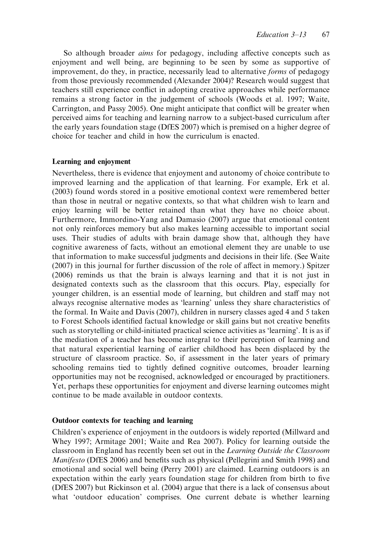So although broader *aims* for pedagogy, including affective concepts such as enjoyment and well being, are beginning to be seen by some as supportive of improvement, do they, in practice, necessarily lead to alternative forms of pedagogy from those previously recommended (Alexander 2004)? Research would suggest that teachers still experience conflict in adopting creative approaches while performance remains a strong factor in the judgement of schools (Woods et al. 1997; Waite, Carrington, and Passy 2005). One might anticipate that conflict will be greater when perceived aims for teaching and learning narrow to a subject-based curriculum after the early years foundation stage (DfES 2007) which is premised on a higher degree of choice for teacher and child in how the curriculum is enacted.

#### Learning and enjoyment

Nevertheless, there is evidence that enjoyment and autonomy of choice contribute to improved learning and the application of that learning. For example, Erk et al. (2003) found words stored in a positive emotional context were remembered better than those in neutral or negative contexts, so that what children wish to learn and enjoy learning will be better retained than what they have no choice about. Furthermore, Immordino-Yang and Damasio (2007) argue that emotional content not only reinforces memory but also makes learning accessible to important social uses. Their studies of adults with brain damage show that, although they have cognitive awareness of facts, without an emotional element they are unable to use that information to make successful judgments and decisions in their life. (See Waite (2007) in this journal for further discussion of the role of affect in memory.) Spitzer (2006) reminds us that the brain is always learning and that it is not just in designated contexts such as the classroom that this occurs. Play, especially for younger children, is an essential mode of learning, but children and staff may not always recognise alternative modes as 'learning' unless they share characteristics of the formal. In Waite and Davis (2007), children in nursery classes aged 4 and 5 taken to Forest Schools identified factual knowledge or skill gains but not creative benefits such as storytelling or child-initiated practical science activities as 'learning'. It is as if the mediation of a teacher has become integral to their perception of learning and that natural experiential learning of earlier childhood has been displaced by the structure of classroom practice. So, if assessment in the later years of primary schooling remains tied to tightly defined cognitive outcomes, broader learning opportunities may not be recognised, acknowledged or encouraged by practitioners. Yet, perhaps these opportunities for enjoyment and diverse learning outcomes might continue to be made available in outdoor contexts.

#### Outdoor contexts for teaching and learning

Children's experience of enjoyment in the outdoors is widely reported (Millward and Whey 1997; Armitage 2001; Waite and Rea 2007). Policy for learning outside the classroom in England has recently been set out in the Learning Outside the Classroom Manifesto (DfES 2006) and benefits such as physical (Pellegrini and Smith 1998) and emotional and social well being (Perry 2001) are claimed. Learning outdoors is an expectation within the early years foundation stage for children from birth to five (DfES 2007) but Rickinson et al. (2004) argue that there is a lack of consensus about what 'outdoor education' comprises. One current debate is whether learning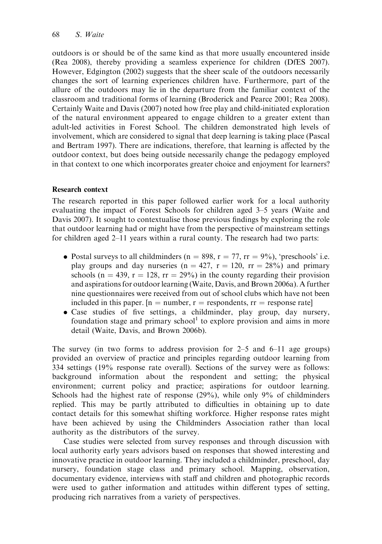outdoors is or should be of the same kind as that more usually encountered inside (Rea 2008), thereby providing a seamless experience for children (DfES 2007). However, Edgington (2002) suggests that the sheer scale of the outdoors necessarily changes the sort of learning experiences children have. Furthermore, part of the allure of the outdoors may lie in the departure from the familiar context of the classroom and traditional forms of learning (Broderick and Pearce 2001; Rea 2008). Certainly Waite and Davis (2007) noted how free play and child-initiated exploration of the natural environment appeared to engage children to a greater extent than adult-led activities in Forest School. The children demonstrated high levels of involvement, which are considered to signal that deep learning is taking place (Pascal and Bertram 1997). There are indications, therefore, that learning is affected by the outdoor context, but does being outside necessarily change the pedagogy employed in that context to one which incorporates greater choice and enjoyment for learners?

# Research context

The research reported in this paper followed earlier work for a local authority evaluating the impact of Forest Schools for children aged 3–5 years (Waite and Davis 2007). It sought to contextualise those previous findings by exploring the role that outdoor learning had or might have from the perspective of mainstream settings for children aged 2–11 years within a rural county. The research had two parts:

- Postal surveys to all childminders ( $n = 898$ ,  $r = 77$ ,  $rr = 9\%$ ), 'preschools' i.e. play groups and day nurseries ( $n = 427$ ,  $r = 120$ ,  $rr = 28\%$ ) and primary schools (n = 439, r = 128, rr = 29%) in the county regarding their provision and aspirations for outdoor learning (Waite, Davis, and Brown 2006a). A further nine questionnaires were received from out of school clubs which have not been included in this paper.  $[n = number, r =$  respondents,  $rr =$  response rate
- . Case studies of five settings, a childminder, play group, day nursery, foundation stage and primary school<sup>1</sup> to explore provision and aims in more detail (Waite, Davis, and Brown 2006b).

The survey (in two forms to address provision for  $2-5$  and  $6-11$  age groups) provided an overview of practice and principles regarding outdoor learning from 334 settings (19% response rate overall). Sections of the survey were as follows: background information about the respondent and setting; the physical environment; current policy and practice; aspirations for outdoor learning. Schools had the highest rate of response (29%), while only 9% of childminders replied. This may be partly attributed to difficulties in obtaining up to date contact details for this somewhat shifting workforce. Higher response rates might have been achieved by using the Childminders Association rather than local authority as the distributors of the survey.

Case studies were selected from survey responses and through discussion with local authority early years advisors based on responses that showed interesting and innovative practice in outdoor learning. They included a childminder, preschool, day nursery, foundation stage class and primary school. Mapping, observation, documentary evidence, interviews with staff and children and photographic records were used to gather information and attitudes within different types of setting, producing rich narratives from a variety of perspectives.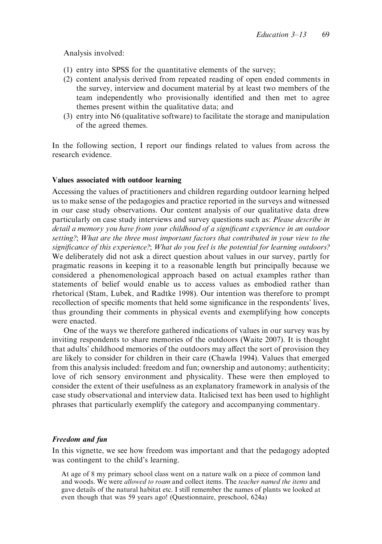Analysis involved:

- (1) entry into SPSS for the quantitative elements of the survey;
- (2) content analysis derived from repeated reading of open ended comments in the survey, interview and document material by at least two members of the team independently who provisionally identified and then met to agree themes present within the qualitative data; and
- (3) entry into N6 (qualitative software) to facilitate the storage and manipulation of the agreed themes.

In the following section, I report our findings related to values from across the research evidence.

## Values associated with outdoor learning

Accessing the values of practitioners and children regarding outdoor learning helped us to make sense of the pedagogies and practice reported in the surveys and witnessed in our case study observations. Our content analysis of our qualitative data drew particularly on case study interviews and survey questions such as: Please describe in detail a memory you have from your childhood of a significant experience in an outdoor setting?; What are the three most important factors that contributed in your view to the significance of this experience?; What do you feel is the potential for learning outdoors? We deliberately did not ask a direct question about values in our survey, partly for pragmatic reasons in keeping it to a reasonable length but principally because we considered a phenomenological approach based on actual examples rather than statements of belief would enable us to access values as embodied rather than rhetorical (Stam, Lubek, and Radtke 1998). Our intention was therefore to prompt recollection of specific moments that held some significance in the respondents' lives, thus grounding their comments in physical events and exemplifying how concepts were enacted.

One of the ways we therefore gathered indications of values in our survey was by inviting respondents to share memories of the outdoors (Waite 2007). It is thought that adults' childhood memories of the outdoors may affect the sort of provision they are likely to consider for children in their care (Chawla 1994). Values that emerged from this analysis included: freedom and fun; ownership and autonomy; authenticity; love of rich sensory environment and physicality. These were then employed to consider the extent of their usefulness as an explanatory framework in analysis of the case study observational and interview data. Italicised text has been used to highlight phrases that particularly exemplify the category and accompanying commentary.

## Freedom and fun

In this vignette, we see how freedom was important and that the pedagogy adopted was contingent to the child's learning.

At age of 8 my primary school class went on a nature walk on a piece of common land and woods. We were allowed to roam and collect items. The teacher named the items and gave details of the natural habitat etc. I still remember the names of plants we looked at even though that was 59 years ago! (Questionnaire, preschool, 624a)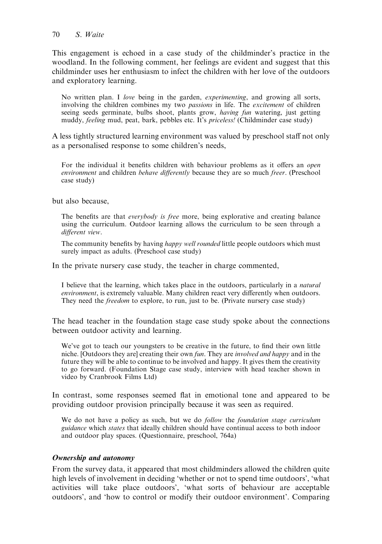## 70 S. Waite

This engagement is echoed in a case study of the childminder's practice in the woodland. In the following comment, her feelings are evident and suggest that this childminder uses her enthusiasm to infect the children with her love of the outdoors and exploratory learning.

No written plan. I love being in the garden, experimenting, and growing all sorts, involving the children combines my two *passions* in life. The *excitement* of children seeing seeds germinate, bulbs shoot, plants grow, *having fun* watering, just getting muddy, *feeling* mud, peat, bark, pebbles etc. It's *priceless!* (Childminder case study)

A less tightly structured learning environment was valued by preschool staff not only as a personalised response to some children's needs,

For the individual it benefits children with behaviour problems as it offers an open environment and children behave differently because they are so much freer. (Preschool case study)

but also because,

The benefits are that *everybody is free* more, being explorative and creating balance using the curriculum. Outdoor learning allows the curriculum to be seen through a different view.

The community benefits by having *happy well rounded* little people outdoors which must surely impact as adults. (Preschool case study)

In the private nursery case study, the teacher in charge commented,

I believe that the learning, which takes place in the outdoors, particularly in a natural environment, is extremely valuable. Many children react very differently when outdoors. They need the *freedom* to explore, to run, just to be. (Private nursery case study)

The head teacher in the foundation stage case study spoke about the connections between outdoor activity and learning.

We've got to teach our youngsters to be creative in the future, to find their own little niche. [Outdoors they are] creating their own fun. They are involved and happy and in the future they will be able to continue to be involved and happy. It gives them the creativity to go forward. (Foundation Stage case study, interview with head teacher shown in video by Cranbrook Films Ltd)

In contrast, some responses seemed flat in emotional tone and appeared to be providing outdoor provision principally because it was seen as required.

We do not have a policy as such, but we do *follow* the *foundation stage curriculum* guidance which states that ideally children should have continual access to both indoor and outdoor play spaces. (Questionnaire, preschool, 764a)

#### Ownership and autonomy

From the survey data, it appeared that most childminders allowed the children quite high levels of involvement in deciding 'whether or not to spend time outdoors', 'what activities will take place outdoors', 'what sorts of behaviour are acceptable outdoors', and 'how to control or modify their outdoor environment'. Comparing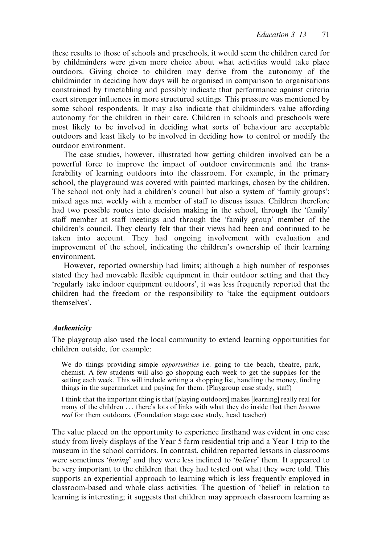these results to those of schools and preschools, it would seem the children cared for by childminders were given more choice about what activities would take place outdoors. Giving choice to children may derive from the autonomy of the childminder in deciding how days will be organised in comparison to organisations constrained by timetabling and possibly indicate that performance against criteria exert stronger influences in more structured settings. This pressure was mentioned by some school respondents. It may also indicate that childminders value affording autonomy for the children in their care. Children in schools and preschools were most likely to be involved in deciding what sorts of behaviour are acceptable outdoors and least likely to be involved in deciding how to control or modify the outdoor environment.

The case studies, however, illustrated how getting children involved can be a powerful force to improve the impact of outdoor environments and the transferability of learning outdoors into the classroom. For example, in the primary school, the playground was covered with painted markings, chosen by the children. The school not only had a children's council but also a system of 'family groups'; mixed ages met weekly with a member of staff to discuss issues. Children therefore had two possible routes into decision making in the school, through the 'family' staff member at staff meetings and through the 'family group' member of the children's council. They clearly felt that their views had been and continued to be taken into account. They had ongoing involvement with evaluation and improvement of the school, indicating the children's ownership of their learning environment.

However, reported ownership had limits; although a high number of responses stated they had moveable flexible equipment in their outdoor setting and that they 'regularly take indoor equipment outdoors', it was less frequently reported that the children had the freedom or the responsibility to 'take the equipment outdoors themselves'.

## Authenticity

The playgroup also used the local community to extend learning opportunities for children outside, for example:

We do things providing simple *opportunities* i.e. going to the beach, theatre, park, chemist. A few students will also go shopping each week to get the supplies for the setting each week. This will include writing a shopping list, handling the money, finding things in the supermarket and paying for them. (Playgroup case study, staff)

I think that the important thing is that [playing outdoors] makes [learning] really real for many of the children ... there's lots of links with what they do inside that then become real for them outdoors. (Foundation stage case study, head teacher)

The value placed on the opportunity to experience firsthand was evident in one case study from lively displays of the Year 5 farm residential trip and a Year 1 trip to the museum in the school corridors. In contrast, children reported lessons in classrooms were sometimes 'boring' and they were less inclined to 'believe' them. It appeared to be very important to the children that they had tested out what they were told. This supports an experiential approach to learning which is less frequently employed in classroom-based and whole class activities. The question of 'belief' in relation to learning is interesting; it suggests that children may approach classroom learning as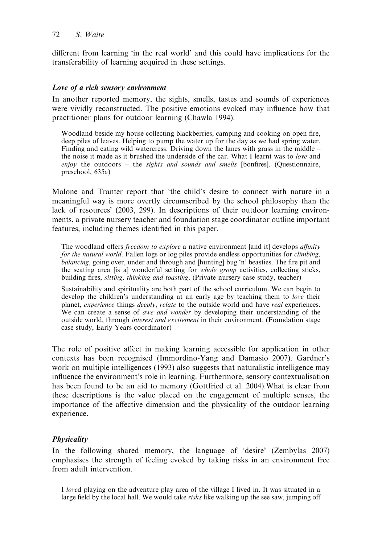different from learning 'in the real world' and this could have implications for the transferability of learning acquired in these settings.

# Love of a rich sensory environment

In another reported memory, the sights, smells, tastes and sounds of experiences were vividly reconstructed. The positive emotions evoked may influence how that practitioner plans for outdoor learning (Chawla 1994).

Woodland beside my house collecting blackberries, camping and cooking on open fire, deep piles of leaves. Helping to pump the water up for the day as we had spring water. Finding and eating wild watercress. Driving down the lanes with grass in the middle  $$ the noise it made as it brushed the underside of the car. What I learnt was to love and enjoy the outdoors – the sights and sounds and smells [bonfires]. (Questionnaire, preschool, 635a)

Malone and Tranter report that 'the child's desire to connect with nature in a meaningful way is more overtly circumscribed by the school philosophy than the lack of resources' (2003, 299). In descriptions of their outdoor learning environments, a private nursery teacher and foundation stage coordinator outline important features, including themes identified in this paper.

The woodland offers *freedom to explore* a native environment [and it] develops *affinity* for the natural world. Fallen logs or log piles provide endless opportunities for *climbing*, balancing, going over, under and through and [hunting] bug 'n' beasties. The fire pit and the seating area [is a] wonderful setting for whole group activities, collecting sticks, building fires, sitting, thinking and toasting. (Private nursery case study, teacher)

Sustainability and spirituality are both part of the school curriculum. We can begin to develop the children's understanding at an early age by teaching them to *love* their planet, experience things deeply, relate to the outside world and have real experiences. We can create a sense of *awe and wonder* by developing their understanding of the outside world, through interest and excitement in their environment. (Foundation stage case study, Early Years coordinator)

The role of positive affect in making learning accessible for application in other contexts has been recognised (Immordino-Yang and Damasio 2007). Gardner's work on multiple intelligences (1993) also suggests that naturalistic intelligence may influence the environment's role in learning. Furthermore, sensory contextualisation has been found to be an aid to memory (Gottfried et al. 2004).What is clear from these descriptions is the value placed on the engagement of multiple senses, the importance of the affective dimension and the physicality of the outdoor learning experience.

# **Physicality**

In the following shared memory, the language of 'desire' (Zembylas 2007) emphasises the strength of feeling evoked by taking risks in an environment free from adult intervention.

I loved playing on the adventure play area of the village I lived in. It was situated in a large field by the local hall. We would take *risks* like walking up the see saw, jumping off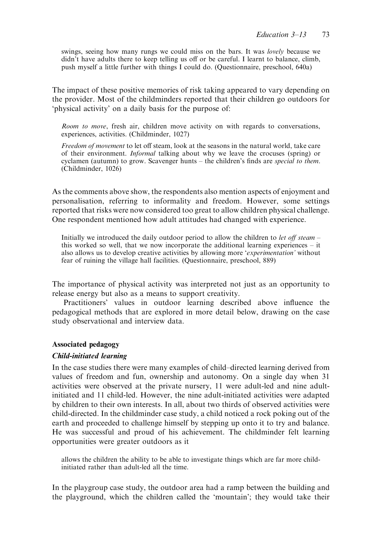swings, seeing how many rungs we could miss on the bars. It was *lovely* because we didn't have adults there to keep telling us off or be careful. I learnt to balance, climb, push myself a little further with things I could do. (Questionnaire, preschool, 640a)

The impact of these positive memories of risk taking appeared to vary depending on the provider. Most of the childminders reported that their children go outdoors for 'physical activity' on a daily basis for the purpose of:

Room to move, fresh air, children move activity on with regards to conversations, experiences, activities. (Childminder, 1027)

Freedom of movement to let off steam, look at the seasons in the natural world, take care of their environment. Informal talking about why we leave the crocuses (spring) or cyclamen (autumn) to grow. Scavenger hunts – the children's finds are *special to them*. (Childminder, 1026)

As the comments above show, the respondents also mention aspects of enjoyment and personalisation, referring to informality and freedom. However, some settings reported that risks were now considered too great to allow children physical challenge. One respondent mentioned how adult attitudes had changed with experience.

Initially we introduced the daily outdoor period to allow the children to *let off steam* – this worked so well, that we now incorporate the additional learning experiences – it also allows us to develop creative activities by allowing more 'experimentation' without fear of ruining the village hall facilities. (Questionnaire, preschool, 889)

The importance of physical activity was interpreted not just as an opportunity to release energy but also as a means to support creativity.

Practitioners' values in outdoor learning described above influence the pedagogical methods that are explored in more detail below, drawing on the case study observational and interview data.

## Associated pedagogy

#### Child-initiated learning

In the case studies there were many examples of child–directed learning derived from values of freedom and fun, ownership and autonomy. On a single day when 31 activities were observed at the private nursery, 11 were adult-led and nine adultinitiated and 11 child-led. However, the nine adult-initiated activities were adapted by children to their own interests. In all, about two thirds of observed activities were child-directed. In the childminder case study, a child noticed a rock poking out of the earth and proceeded to challenge himself by stepping up onto it to try and balance. He was successful and proud of his achievement. The childminder felt learning opportunities were greater outdoors as it

allows the children the ability to be able to investigate things which are far more childinitiated rather than adult-led all the time.

In the playgroup case study, the outdoor area had a ramp between the building and the playground, which the children called the 'mountain'; they would take their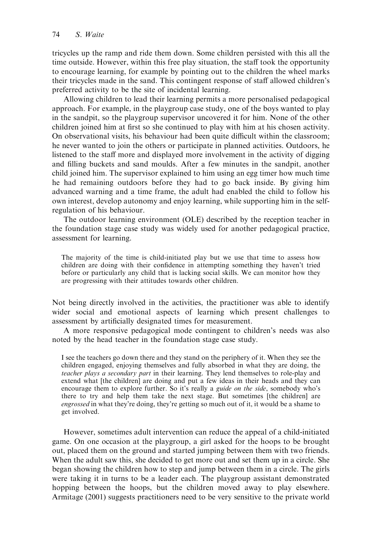tricycles up the ramp and ride them down. Some children persisted with this all the time outside. However, within this free play situation, the staff took the opportunity to encourage learning, for example by pointing out to the children the wheel marks their tricycles made in the sand. This contingent response of staff allowed children's preferred activity to be the site of incidental learning.

Allowing children to lead their learning permits a more personalised pedagogical approach. For example, in the playgroup case study, one of the boys wanted to play in the sandpit, so the playgroup supervisor uncovered it for him. None of the other children joined him at first so she continued to play with him at his chosen activity. On observational visits, his behaviour had been quite difficult within the classroom; he never wanted to join the others or participate in planned activities. Outdoors, he listened to the staff more and displayed more involvement in the activity of digging and filling buckets and sand moulds. After a few minutes in the sandpit, another child joined him. The supervisor explained to him using an egg timer how much time he had remaining outdoors before they had to go back inside. By giving him advanced warning and a time frame, the adult had enabled the child to follow his own interest, develop autonomy and enjoy learning, while supporting him in the selfregulation of his behaviour.

The outdoor learning environment (OLE) described by the reception teacher in the foundation stage case study was widely used for another pedagogical practice, assessment for learning.

The majority of the time is child-initiated play but we use that time to assess how children are doing with their confidence in attempting something they haven't tried before or particularly any child that is lacking social skills. We can monitor how they are progressing with their attitudes towards other children.

Not being directly involved in the activities, the practitioner was able to identify wider social and emotional aspects of learning which present challenges to assessment by artificially designated times for measurement.

A more responsive pedagogical mode contingent to children's needs was also noted by the head teacher in the foundation stage case study.

I see the teachers go down there and they stand on the periphery of it. When they see the children engaged, enjoying themselves and fully absorbed in what they are doing, the teacher plays a secondary part in their learning. They lend themselves to role-play and extend what [the children] are doing and put a few ideas in their heads and they can encourage them to explore further. So it's really a guide on the side, somebody who's there to try and help them take the next stage. But sometimes [the children] are engrossed in what they're doing, they're getting so much out of it, it would be a shame to get involved.

However, sometimes adult intervention can reduce the appeal of a child-initiated game. On one occasion at the playgroup, a girl asked for the hoops to be brought out, placed them on the ground and started jumping between them with two friends. When the adult saw this, she decided to get more out and set them up in a circle. She began showing the children how to step and jump between them in a circle. The girls were taking it in turns to be a leader each. The playgroup assistant demonstrated hopping between the hoops, but the children moved away to play elsewhere. Armitage (2001) suggests practitioners need to be very sensitive to the private world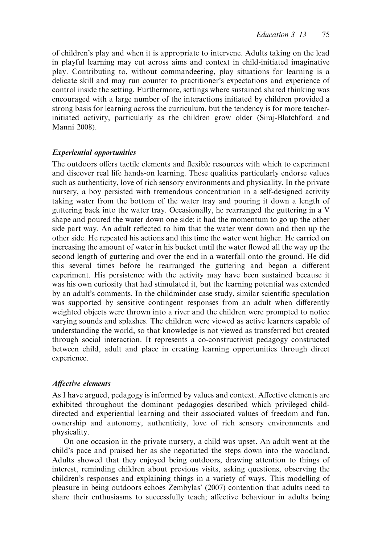of children's play and when it is appropriate to intervene. Adults taking on the lead in playful learning may cut across aims and context in child-initiated imaginative play. Contributing to, without commandeering, play situations for learning is a delicate skill and may run counter to practitioner's expectations and experience of control inside the setting. Furthermore, settings where sustained shared thinking was encouraged with a large number of the interactions initiated by children provided a strong basis for learning across the curriculum, but the tendency is for more teacherinitiated activity, particularly as the children grow older (Siraj-Blatchford and Manni 2008).

## Experiential opportunities

The outdoors offers tactile elements and flexible resources with which to experiment and discover real life hands-on learning. These qualities particularly endorse values such as authenticity, love of rich sensory environments and physicality. In the private nursery, a boy persisted with tremendous concentration in a self-designed activity taking water from the bottom of the water tray and pouring it down a length of guttering back into the water tray. Occasionally, he rearranged the guttering in a V shape and poured the water down one side; it had the momentum to go up the other side part way. An adult reflected to him that the water went down and then up the other side. He repeated his actions and this time the water went higher. He carried on increasing the amount of water in his bucket until the water flowed all the way up the second length of guttering and over the end in a waterfall onto the ground. He did this several times before he rearranged the guttering and began a different experiment. His persistence with the activity may have been sustained because it was his own curiosity that had stimulated it, but the learning potential was extended by an adult's comments. In the childminder case study, similar scientific speculation was supported by sensitive contingent responses from an adult when differently weighted objects were thrown into a river and the children were prompted to notice varying sounds and splashes. The children were viewed as active learners capable of understanding the world, so that knowledge is not viewed as transferred but created through social interaction. It represents a co-constructivist pedagogy constructed between child, adult and place in creating learning opportunities through direct experience.

## Affective elements

As I have argued, pedagogy is informed by values and context. Affective elements are exhibited throughout the dominant pedagogies described which privileged childdirected and experiential learning and their associated values of freedom and fun, ownership and autonomy, authenticity, love of rich sensory environments and physicality.

On one occasion in the private nursery, a child was upset. An adult went at the child's pace and praised her as she negotiated the steps down into the woodland. Adults showed that they enjoyed being outdoors, drawing attention to things of interest, reminding children about previous visits, asking questions, observing the children's responses and explaining things in a variety of ways. This modelling of pleasure in being outdoors echoes Zembylas' (2007) contention that adults need to share their enthusiasms to successfully teach; affective behaviour in adults being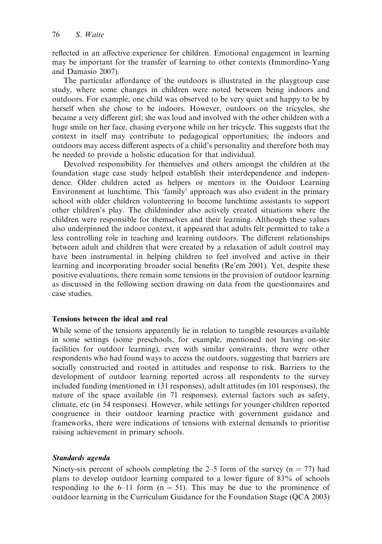reflected in an affective experience for children. Emotional engagement in learning may be important for the transfer of learning to other contexts (Immordino-Yang and Damasio 2007).

The particular affordance of the outdoors is illustrated in the playgroup case study, where some changes in children were noted between being indoors and outdoors. For example, one child was observed to be very quiet and happy to be by herself when she chose to be indoors. However, outdoors on the tricycles, she became a very different girl; she was loud and involved with the other children with a huge smile on her face, chasing everyone while on her tricycle. This suggests that the context in itself may contribute to pedagogical opportunities; the indoors and outdoors may access different aspects of a child's personality and therefore both may be needed to provide a holistic education for that individual.

Devolved responsibility for themselves and others amongst the children at the foundation stage case study helped establish their interdependence and independence. Older children acted as helpers or mentors in the Outdoor Learning Environment at lunchtime. This 'family' approach was also evident in the primary school with older children volunteering to become lunchtime assistants to support other children's play. The childminder also actively created situations where the children were responsible for themselves and their learning. Although these values also underpinned the indoor context, it appeared that adults felt permitted to take a less controlling role in teaching and learning outdoors. The different relationships between adult and children that were created by a relaxation of adult control may have been instrumental in helping children to feel involved and active in their learning and incorporating broader social benefits (Re'em 2001). Yet, despite these positive evaluations, there remain some tensions in the provision of outdoor learning as discussed in the following section drawing on data from the questionnaires and case studies.

## Tensions between the ideal and real

While some of the tensions apparently lie in relation to tangible resources available in some settings (some preschools, for example, mentioned not having on-site facilities for outdoor learning), even with similar constraints, there were other respondents who had found ways to access the outdoors, suggesting that barriers are socially constructed and rooted in attitudes and response to risk. Barriers to the development of outdoor learning reported across all respondents to the survey included funding (mentioned in 131 responses), adult attitudes (in 101 responses), the nature of the space available (in 71 responses), external factors such as safety, climate, etc (in 54 responses). However, while settings for younger children reported congruence in their outdoor learning practice with government guidance and frameworks, there were indications of tensions with external demands to prioritise raising achievement in primary schools.

# Standards agenda

Ninety-six percent of schools completing the 2–5 form of the survey  $(n = 77)$  had plans to develop outdoor learning compared to a lower figure of 83% of schools responding to the 6–11 form  $(n = 51)$ . This may be due to the prominence of outdoor learning in the Curriculum Guidance for the Foundation Stage (QCA 2003)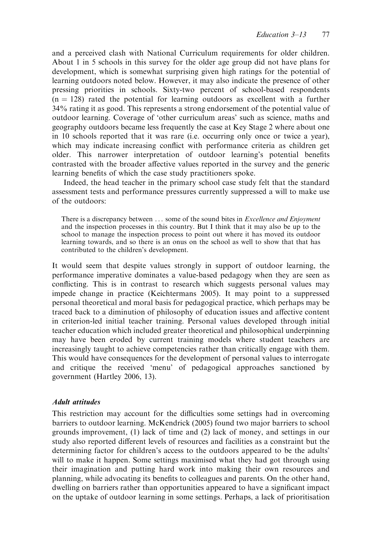and a perceived clash with National Curriculum requirements for older children. About 1 in 5 schools in this survey for the older age group did not have plans for development, which is somewhat surprising given high ratings for the potential of learning outdoors noted below. However, it may also indicate the presence of other pressing priorities in schools. Sixty-two percent of school-based respondents  $(n = 128)$  rated the potential for learning outdoors as excellent with a further 34% rating it as good. This represents a strong endorsement of the potential value of outdoor learning. Coverage of 'other curriculum areas' such as science, maths and geography outdoors became less frequently the case at Key Stage 2 where about one in 10 schools reported that it was rare (i.e. occurring only once or twice a year), which may indicate increasing conflict with performance criteria as children get older. This narrower interpretation of outdoor learning's potential benefits contrasted with the broader affective values reported in the survey and the generic learning benefits of which the case study practitioners spoke.

Indeed, the head teacher in the primary school case study felt that the standard assessment tests and performance pressures currently suppressed a will to make use of the outdoors:

There is a discrepancy between ... some of the sound bites in *Excellence and Enjoyment* and the inspection processes in this country. But I think that it may also be up to the school to manage the inspection process to point out where it has moved its outdoor learning towards, and so there is an onus on the school as well to show that that has contributed to the children's development.

It would seem that despite values strongly in support of outdoor learning, the performance imperative dominates a value-based pedagogy when they are seen as conflicting. This is in contrast to research which suggests personal values may impede change in practice (Keichtermans 2005). It may point to a suppressed personal theoretical and moral basis for pedagogical practice, which perhaps may be traced back to a diminution of philosophy of education issues and affective content in criterion-led initial teacher training. Personal values developed through initial teacher education which included greater theoretical and philosophical underpinning may have been eroded by current training models where student teachers are increasingly taught to achieve competencies rather than critically engage with them. This would have consequences for the development of personal values to interrogate and critique the received 'menu' of pedagogical approaches sanctioned by government (Hartley 2006, 13).

#### Adult attitudes

This restriction may account for the difficulties some settings had in overcoming barriers to outdoor learning. McKendrick (2005) found two major barriers to school grounds improvement, (1) lack of time and (2) lack of money, and settings in our study also reported different levels of resources and facilities as a constraint but the determining factor for children's access to the outdoors appeared to be the adults' will to make it happen. Some settings maximised what they had got through using their imagination and putting hard work into making their own resources and planning, while advocating its benefits to colleagues and parents. On the other hand, dwelling on barriers rather than opportunities appeared to have a significant impact on the uptake of outdoor learning in some settings. Perhaps, a lack of prioritisation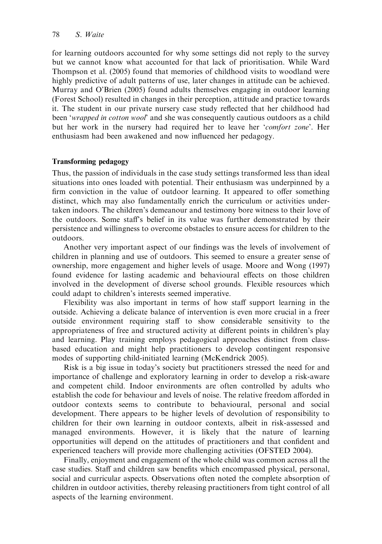for learning outdoors accounted for why some settings did not reply to the survey but we cannot know what accounted for that lack of prioritisation. While Ward Thompson et al. (2005) found that memories of childhood visits to woodland were highly predictive of adult patterns of use, later changes in attitude can be achieved. Murray and O'Brien (2005) found adults themselves engaging in outdoor learning (Forest School) resulted in changes in their perception, attitude and practice towards it. The student in our private nursery case study reflected that her childhood had been 'wrapped in cotton wool' and she was consequently cautious outdoors as a child but her work in the nursery had required her to leave her 'comfort zone'. Her enthusiasm had been awakened and now influenced her pedagogy.

# Transforming pedagogy

Thus, the passion of individuals in the case study settings transformed less than ideal situations into ones loaded with potential. Their enthusiasm was underpinned by a firm conviction in the value of outdoor learning. It appeared to offer something distinct, which may also fundamentally enrich the curriculum or activities undertaken indoors. The children's demeanour and testimony bore witness to their love of the outdoors. Some staff's belief in its value was further demonstrated by their persistence and willingness to overcome obstacles to ensure access for children to the outdoors.

Another very important aspect of our findings was the levels of involvement of children in planning and use of outdoors. This seemed to ensure a greater sense of ownership, more engagement and higher levels of usage. Moore and Wong (1997) found evidence for lasting academic and behavioural effects on those children involved in the development of diverse school grounds. Flexible resources which could adapt to children's interests seemed imperative.

Flexibility was also important in terms of how staff support learning in the outside. Achieving a delicate balance of intervention is even more crucial in a freer outside environment requiring staff to show considerable sensitivity to the appropriateness of free and structured activity at different points in children's play and learning. Play training employs pedagogical approaches distinct from classbased education and might help practitioners to develop contingent responsive modes of supporting child-initiated learning (McKendrick 2005).

Risk is a big issue in today's society but practitioners stressed the need for and importance of challenge and exploratory learning in order to develop a risk-aware and competent child. Indoor environments are often controlled by adults who establish the code for behaviour and levels of noise. The relative freedom afforded in outdoor contexts seems to contribute to behavioural, personal and social development. There appears to be higher levels of devolution of responsibility to children for their own learning in outdoor contexts, albeit in risk-assessed and managed environments. However, it is likely that the nature of learning opportunities will depend on the attitudes of practitioners and that confident and experienced teachers will provide more challenging activities (OFSTED 2004).

Finally, enjoyment and engagement of the whole child was common across all the case studies. Staff and children saw benefits which encompassed physical, personal, social and curricular aspects. Observations often noted the complete absorption of children in outdoor activities, thereby releasing practitioners from tight control of all aspects of the learning environment.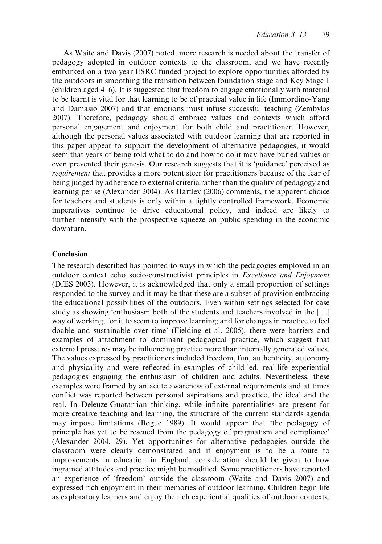As Waite and Davis (2007) noted, more research is needed about the transfer of pedagogy adopted in outdoor contexts to the classroom, and we have recently embarked on a two year ESRC funded project to explore opportunities afforded by the outdoors in smoothing the transition between foundation stage and Key Stage 1 (children aged 4–6). It is suggested that freedom to engage emotionally with material to be learnt is vital for that learning to be of practical value in life (Immordino-Yang and Damasio 2007) and that emotions must infuse successful teaching (Zembylas 2007). Therefore, pedagogy should embrace values and contexts which afford personal engagement and enjoyment for both child and practitioner. However, although the personal values associated with outdoor learning that are reported in this paper appear to support the development of alternative pedagogies, it would seem that years of being told what to do and how to do it may have buried values or even prevented their genesis. Our research suggests that it is 'guidance' perceived as *requirement* that provides a more potent steer for practitioners because of the fear of being judged by adherence to external criteria rather than the quality of pedagogy and learning per se (Alexander 2004). As Hartley (2006) comments, the apparent choice for teachers and students is only within a tightly controlled framework. Economic imperatives continue to drive educational policy, and indeed are likely to further intensify with the prospective squeeze on public spending in the economic downturn.

## Conclusion

The research described has pointed to ways in which the pedagogies employed in an outdoor context echo socio-constructivist principles in Excellence and Enjoyment (DfES 2003). However, it is acknowledged that only a small proportion of settings responded to the survey and it may be that these are a subset of provision embracing the educational possibilities of the outdoors. Even within settings selected for case study as showing 'enthusiasm both of the students and teachers involved in the [. . .] way of working; for it to seem to improve learning; and for changes in practice to feel doable and sustainable over time' (Fielding et al. 2005), there were barriers and examples of attachment to dominant pedagogical practice, which suggest that external pressures may be influencing practice more than internally generated values. The values expressed by practitioners included freedom, fun, authenticity, autonomy and physicality and were reflected in examples of child-led, real-life experiential pedagogies engaging the enthusiasm of children and adults. Nevertheless, these examples were framed by an acute awareness of external requirements and at times conflict was reported between personal aspirations and practice, the ideal and the real. In Deleuze-Guatarrian thinking, while infinite potentialities are present for more creative teaching and learning, the structure of the current standards agenda may impose limitations (Bogue 1989). It would appear that 'the pedagogy of principle has yet to be rescued from the pedagogy of pragmatism and compliance' (Alexander 2004, 29). Yet opportunities for alternative pedagogies outside the classroom were clearly demonstrated and if enjoyment is to be a route to improvements in education in England, consideration should be given to how ingrained attitudes and practice might be modified. Some practitioners have reported an experience of 'freedom' outside the classroom (Waite and Davis 2007) and expressed rich enjoyment in their memories of outdoor learning. Children begin life as exploratory learners and enjoy the rich experiential qualities of outdoor contexts,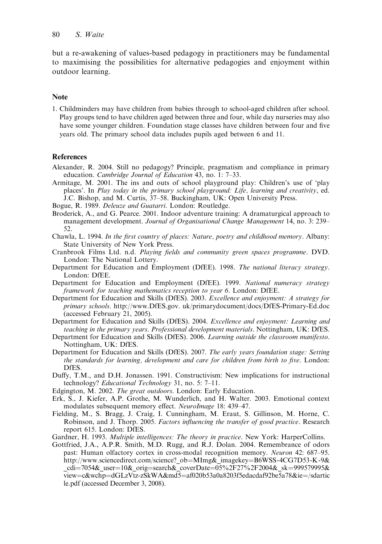but a re-awakening of values-based pedagogy in practitioners may be fundamental to maximising the possibilities for alternative pedagogies and enjoyment within outdoor learning.

#### Note

1. Childminders may have children from babies through to school-aged children after school. Play groups tend to have children aged between three and four, while day nurseries may also have some younger children. Foundation stage classes have children between four and five years old. The primary school data includes pupils aged between 6 and 11.

#### **References**

- Alexander, R. 2004. Still no pedagogy? Principle, pragmatism and compliance in primary education. Cambridge Journal of Education 43, no. 1: 7–33.
- Armitage, M. 2001. The ins and outs of school playground play: Children's use of 'play places'. In Play today in the primary school playground: Life, learning and creativity, ed. J.C. Bishop, and M. Curtis, 37–58. Buckingham, UK: Open University Press.
- Bogue, R. 1989. Deleuze and Guatarri. London: Routledge.
- Broderick, A., and G. Pearce. 2001. Indoor adventure training: A dramaturgical approach to management development. Journal of Organisational Change Management 14, no. 3: 239– 52.
- Chawla, L. 1994. In the first country of places: Nature, poetry and childhood memory. Albany: State University of New York Press.
- Cranbrook Films Ltd. n.d. Playing fields and community green spaces programme. DVD. London: The National Lottery.
- Department for Education and Employment (DfEE). 1998. The national literacy strategy. London: DfEE.
- Department for Education and Employment (DfEE). 1999. National numeracy strategy framework for teaching mathematics reception to year 6. London: DfEE.
- Department for Education and Skills (DfES). 2003. Excellence and enjoyment: A strategy for primary schools. [http://www.DfES.gov. uk/primarydocument/docs/DfES-Primary-Ed.doc](http://www.DfES.gov.uk/primarydocument/docs/DfES-Primary-Ed.doc) (accessed February 21, 2005).
- Department for Education and Skills (DfES). 2004. Excellence and enjoyment: Learning and teaching in the primary years. Professional development materials. Nottingham, UK: DfES.
- Department for Education and Skills (DfES). 2006. Learning outside the classroom manifesto. Nottingham, UK: DfES.
- Department for Education and Skills (DfES). 2007. The early years foundation stage: Setting the standards for learning, development and care for children from birth to five. London: DfES.
- Duffy, T.M., and D.H. Jonassen. 1991. Constructivism: New implications for instructional technology? Educational Technology 31, no. 5: 7-11.
- Edgington, M. 2002. The great outdoors. London: Early Education.
- Erk, S., J. Kiefer, A.P. Grothe, M. Wunderlich, and H. Walter. 2003. Emotional context modulates subsequent memory effect. NeuroImage 18: 439-47.
- Fielding, M., S. Bragg, J. Craig, I. Cunningham, M. Eraut, S. Gillinson, M. Horne, C. Robinson, and J. Thorp. 2005. Factors influencing the transfer of good practice. Research report 615. London: DfES.
- Gardner, H. 1993. Multiple intelligences: The theory in practice. New York: HarperCollins.
- Gottfried, J.A., A.P.R. Smith, M.D. Rugg, and R.J. Dolan. 2004. Remembrance of odors past: Human olfactory cortex in cross-modal recognition memory. Neuron 42: 687–95. [http://www.sciencedirect.com/science?\\_ob](http://www.sciencedirect.com/science?_ob=MImg&_imagekey=B6WSS-4CG7D53-K-9&_cdi=7054&_user=10&_orig=search&_coverDate=05%2F27%2F2004&_sk=999579995&view=c&wchp=dGLzVtz-zSkWA&md5=af020b53a0a8203f5edacdaf92be5a78&ie=/sdarticle.pdf)=[MImg&\\_imagekey](http://www.sciencedirect.com/science?_ob=MImg&_imagekey=B6WSS-4CG7D53-K-9&_cdi=7054&_user=10&_orig=search&_coverDate=05%2F27%2F2004&_sk=999579995&view=c&wchp=dGLzVtz-zSkWA&md5=af020b53a0a8203f5edacdaf92be5a78&ie=/sdarticle.pdf)=[B6WSS-4CG7D53-K-9&](http://www.sciencedirect.com/science?_ob=MImg&_imagekey=B6WSS-4CG7D53-K-9&_cdi=7054&_user=10&_orig=search&_coverDate=05%2F27%2F2004&_sk=999579995&view=c&wchp=dGLzVtz-zSkWA&md5=af020b53a0a8203f5edacdaf92be5a78&ie=/sdarticle.pdf)  $_c$ di=[7054&\\_user](http://www.sciencedirect.com/science?_ob=MImg&_imagekey=B6WSS-4CG7D53-K-9&_cdi=7054&_user=10&_orig=search&_coverDate=05%2F27%2F2004&_sk=999579995&view=c&wchp=dGLzVtz-zSkWA&md5=af020b53a0a8203f5edacdaf92be5a78&ie=/sdarticle.pdf)=[10&\\_orig](http://www.sciencedirect.com/science?_ob=MImg&_imagekey=B6WSS-4CG7D53-K-9&_cdi=7054&_user=10&_orig=search&_coverDate=05%2F27%2F2004&_sk=999579995&view=c&wchp=dGLzVtz-zSkWA&md5=af020b53a0a8203f5edacdaf92be5a78&ie=/sdarticle.pdf)=[search&\\_coverDate](http://www.sciencedirect.com/science?_ob=MImg&_imagekey=B6WSS-4CG7D53-K-9&_cdi=7054&_user=10&_orig=search&_coverDate=05%2F27%2F2004&_sk=999579995&view=c&wchp=dGLzVtz-zSkWA&md5=af020b53a0a8203f5edacdaf92be5a78&ie=/sdarticle.pdf)=[05%2F27%2F2004&\\_sk](http://www.sciencedirect.com/science?_ob=MImg&_imagekey=B6WSS-4CG7D53-K-9&_cdi=7054&_user=10&_orig=search&_coverDate=05%2F27%2F2004&_sk=999579995&view=c&wchp=dGLzVtz-zSkWA&md5=af020b53a0a8203f5edacdaf92be5a78&ie=/sdarticle.pdf)=[999579995&](http://www.sciencedirect.com/science?_ob=MImg&_imagekey=B6WSS-4CG7D53-K-9&_cdi=7054&_user=10&_orig=search&_coverDate=05%2F27%2F2004&_sk=999579995&view=c&wchp=dGLzVtz-zSkWA&md5=af020b53a0a8203f5edacdaf92be5a78&ie=/sdarticle.pdf) [view](http://www.sciencedirect.com/science?_ob=MImg&_imagekey=B6WSS-4CG7D53-K-9&_cdi=7054&_user=10&_orig=search&_coverDate=05%2F27%2F2004&_sk=999579995&view=c&wchp=dGLzVtz-zSkWA&md5=af020b53a0a8203f5edacdaf92be5a78&ie=/sdarticle.pdf)=[c&wchp](http://www.sciencedirect.com/science?_ob=MImg&_imagekey=B6WSS-4CG7D53-K-9&_cdi=7054&_user=10&_orig=search&_coverDate=05%2F27%2F2004&_sk=999579995&view=c&wchp=dGLzVtz-zSkWA&md5=af020b53a0a8203f5edacdaf92be5a78&ie=/sdarticle.pdf)=[dGLzVtz-zSkWA&md5](http://www.sciencedirect.com/science?_ob=MImg&_imagekey=B6WSS-4CG7D53-K-9&_cdi=7054&_user=10&_orig=search&_coverDate=05%2F27%2F2004&_sk=999579995&view=c&wchp=dGLzVtz-zSkWA&md5=af020b53a0a8203f5edacdaf92be5a78&ie=/sdarticle.pdf)=[af020b53a0a8203f5edacdaf92be5a78&ie](http://www.sciencedirect.com/science?_ob=MImg&_imagekey=B6WSS-4CG7D53-K-9&_cdi=7054&_user=10&_orig=search&_coverDate=05%2F27%2F2004&_sk=999579995&view=c&wchp=dGLzVtz-zSkWA&md5=af020b53a0a8203f5edacdaf92be5a78&ie=/sdarticle.pdf)=[/sdartic](http://www.sciencedirect.com/science?_ob=MImg&_imagekey=B6WSS-4CG7D53-K-9&_cdi=7054&_user=10&_orig=search&_coverDate=05%2F27%2F2004&_sk=999579995&view=c&wchp=dGLzVtz-zSkWA&md5=af020b53a0a8203f5edacdaf92be5a78&ie=/sdarticle.pdf) [le.pdf](http://www.sciencedirect.com/science?_ob=MImg&_imagekey=B6WSS-4CG7D53-K-9&_cdi=7054&_user=10&_orig=search&_coverDate=05%2F27%2F2004&_sk=999579995&view=c&wchp=dGLzVtz-zSkWA&md5=af020b53a0a8203f5edacdaf92be5a78&ie=/sdarticle.pdf) (accessed December 3, 2008).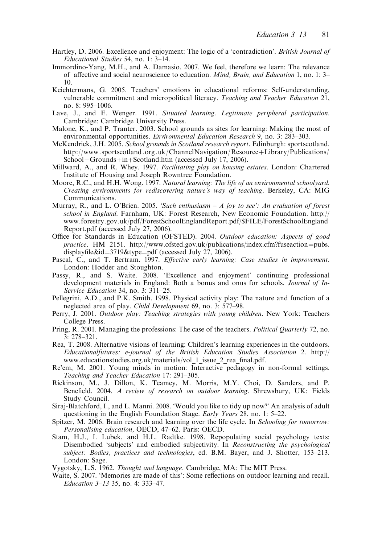- Hartley, D. 2006. Excellence and enjoyment: The logic of a 'contradiction'. British Journal of Educational Studies 54, no. 1: 3–14.
- Immordino-Yang, M.H., and A. Damasio. 2007. We feel, therefore we learn: The relevance of affective and social neuroscience to education. *Mind, Brain, and Education* 1, no. 1: 3– 10.
- Keichtermans, G. 2005. Teachers' emotions in educational reforms: Self-understanding, vulnerable commitment and micropolitical literacy. Teaching and Teacher Education 21, no. 8: 995–1006.
- Lave, J., and E. Wenger. 1991. Situated learning. Legitimate peripheral participation. Cambridge: Cambridge University Press.
- Malone, K., and P. Tranter. 2003. School grounds as sites for learning: Making the most of environmental opportunities. Environmental Education Research 9, no. 3: 283-303.
- McKendrick, J.H. 2005. School grounds in Scotland research report. Edinburgh: sportscotland. http://www.sportscotland.org.uk/ChannelNavigation/Resource+[Library/Publications/](http://www.sportscotland.org.uk/ChannelNavigation/Resource+Library/Publications/School+Grounds+in+Scotland.htm)  $School+Grounds+in+Scotland.htm$  $School+Grounds+in+Scotland.htm$  $School+Grounds+in+Scotland.htm$  $School+Grounds+in+Scotland.htm$  $School+Grounds+in+Scotland.htm$  $School+Grounds+in+Scotland.htm$  $School+Grounds+in+Scotland.htm$  (accessed July 17, 2006).
- Millward, A., and R. Whey. 1997. Facilitating play on housing estates. London: Chartered Institute of Housing and Joseph Rowntree Foundation.
- Moore, R.C., and H.H. Wong. 1997. Natural learning: The life of an environmental schoolvard. Creating environments for rediscovering nature's way of teaching. Berkeley, CA: MIG Communications.
- Murray, R., and L. O'Brien. 2005. 'Such enthusiasm  $A$  joy to see': An evaluation of forest school in England. Farnham, UK: Forest Research, New Economic Foundation. [http://](http://www.forestry.gov.uk/pdf/ForestSchoolEnglandReport.pdf/$FILE/ForestSchoolEnglandReport.pdf) [www.forestry.gov.uk/pdf/ForestSchoolEnglandReport.pdf/\\$FILE/ForestSchoolEngland](http://www.forestry.gov.uk/pdf/ForestSchoolEnglandReport.pdf/$FILE/ForestSchoolEnglandReport.pdf) [Report.pdf](http://www.forestry.gov.uk/pdf/ForestSchoolEnglandReport.pdf/$FILE/ForestSchoolEnglandReport.pdf) (accessed July 27, 2006).
- Office for Standards in Education (OFSTED). 2004. Outdoor education: Aspects of good  $practive.$  HM 2151. [http://www.ofsted.gov.uk/publications/index.cfm?fuseaction](http://www.ofsted.gov.uk/publications/index.cfm?fuseaction=pubs.displayfile&id=3719&type=pdf)=[pubs.](http://www.ofsted.gov.uk/publications/index.cfm?fuseaction=pubs.displayfile&id=3719&type=pdf) [displayfile&id](http://www.ofsted.gov.uk/publications/index.cfm?fuseaction=pubs.displayfile&id=3719&type=pdf)= $3719$ &type=[pdf](http://www.ofsted.gov.uk/publications/index.cfm?fuseaction=pubs.displayfile&id=3719&type=pdf) (accessed July 27, 2006).
- Pascal, C., and T. Bertram. 1997. Effective early learning: Case studies in improvement. London: Hodder and Stoughton.
- Passy, R., and S. Waite. 2008. 'Excellence and enjoyment' continuing professional development materials in England: Both a bonus and onus for schools. Journal of In-Service Education 34, no. 3: 311–25.
- Pellegrini, A.D., and P.K. Smith. 1998. Physical activity play: The nature and function of a neglected area of play. Child Development 69, no. 3: 577–98.
- Perry, J. 2001. Outdoor play: Teaching strategies with young children. New York: Teachers College Press.
- Pring, R. 2001. Managing the professions: The case of the teachers. *Political Quarterly* 72, no. 3: 278–321.
- Rea, T. 2008. Alternative visions of learning: Children's learning experiences in the outdoors. Educationalfutures: e-journal of the British Education Studies Association 2. [http://](http://www.educationstudies.org.uk/materials/vol_1_issue_2_rea_final.pdf) [www.educationstudies.org.uk/materials/vol\\_1\\_issue\\_2\\_rea\\_final.pdf.](http://www.educationstudies.org.uk/materials/vol_1_issue_2_rea_final.pdf)
- Re'em, M. 2001. Young minds in motion: Interactive pedagogy in non-formal settings. Teaching and Teacher Education 17: 291–305.
- Rickinson, M., J. Dillon, K. Teamey, M. Morris, M.Y. Choi, D. Sanders, and P. Benefield. 2004. A review of research on outdoor learning. Shrewsbury, UK: Fields Study Council.
- Siraj-Blatchford, I., and L. Manni. 2008. 'Would you like to tidy up now?' An analysis of adult questioning in the English Foundation Stage. Early Years 28, no. 1: 5–22.
- Spitzer, M. 2006. Brain research and learning over the life cycle. In Schooling for tomorrow: Personalising education, OECD, 47–62. Paris: OECD.
- Stam, H.J., I. Lubek, and H.L. Radtke. 1998. Repopulating social psychology texts: Disembodied 'subjects' and embodied subjectivity. In Reconstructing the psychological subject: Bodies, practices and technologies, ed. B.M. Bayer, and J. Shotter, 153–213. London: Sage.

Vygotsky, L.S. 1962. Thought and language. Cambridge, MA: The MIT Press.

Waite, S. 2007. 'Memories are made of this': Some reflections on outdoor learning and recall. Education 3–13 35, no. 4: 333–47.